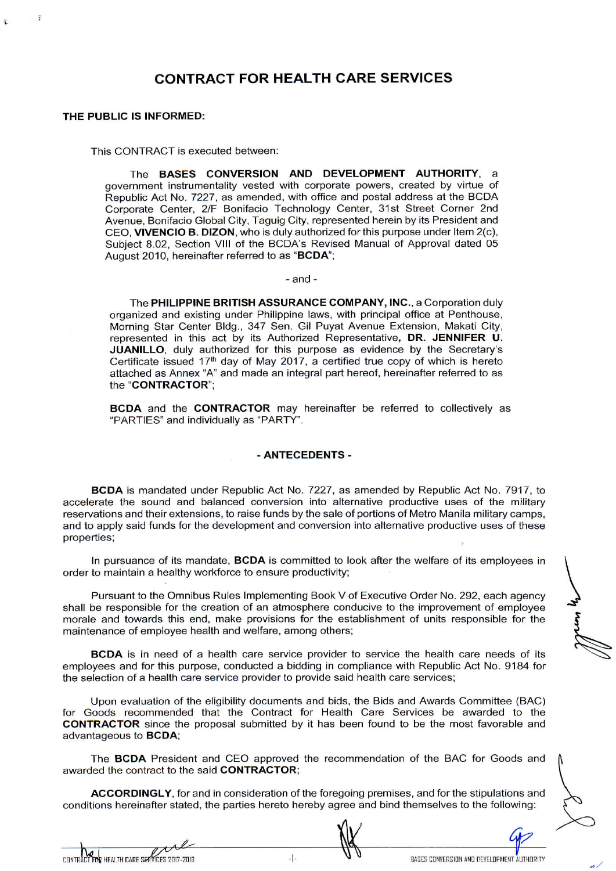# CONTRACT FOR HEALTH CARE SERVICES

### THE PUBLIC IS INFORMED:

 $\overline{z}$ 

This CONTRACT is executed between:

The BASES CONVERSION AND DEVELOPMENT AUTHORITY, <sup>a</sup> government instrumentality vested with corporate powers, created by virtue of Republic Act No. 7227, as amended, with office and postal address atthe BCDA Corporate Center, 2/F Bonifacio Technology Center, 31st Street Corner 2nd Avenue, Bonifacio Global City, Taguig City, represented herein by its President and CEO, VIVENCIO B. DIZON, who is duly authorized for this purpose under Item  $2(c)$ , Subject 8.02, Section VIII of the BCDA's Revised Manual of Approval dated 05 August 2010, hereinafter referred to as "BCDA";

- and -

The PHILIPPINE BRITISH ASSURANCE COMPANY, INC., a Corporation duly organized and existing under Philippine laws, with principal office at Penthouse. Morning Star Center Bldg., 347 Sen. Gil Puyat Avenue Extension, Makati City, represented in this act by its Authorized Representative, DR. JENNIFER U. JUANILLO, duly authorized for this purpose as evidence by the Secretary's Certificate issued  $17<sup>th</sup>$  day of May 2017, a certified true copy of which is hereto attached as Annex "A" and made an integral part hereof, hereinafter referred to as the "CONTRACTOR";

BCDA and the CONTRACTOR may hereinafter be referred to collectively as "PARTIES" and individually as "PARTY".

#### -ANTECEDENTS -

BCDA is mandated under Republic Act No. 7227, as amended by Republic Act No. 7917, to accelerate the sound and balanced conversion into alternative productive uses of the military<br>reservations and their extensions, to raise funds by the sale of portions of Metro Manila military camps, and to apply said funds for the development and conversion into alternative productive uses of these<br>properties;

In pursuance of its mandate, **BCDA** is committed to look after the welfare of its employees in order to maintain a healthy workforce to ensure productivity;

Pursuant to the Omnibus Rules Implementing Book V of Executive Order No. 292, each agency shall be responsible for the creation of an atmosphere conducive to the improvement of employee morale and towards this end, make provisions for the establishment of units responsible for the maintenance of employee health and welfare, among others;

BCDA is in need of a health care service provider to service the health care needs of its employees and forthis purpose, conducted a bidding in compliance with Republic Act No. 9184 for the selection of a health care service provider to provide said health care services;

Upon evaluation of the eligibility documents and bids, the Bids and Awards Committee (BAC) for Goods recommended that the Contract for Health Care Services be awarded to the **CONTRACTOR** since the proposal submitted by it has been found to be the most favorable and advantageous to **BCDA**; Final discussions and bids, the Bids and Awards Committee (BAC)<br>
ed that the Contract for Health Care Services be awarded to the<br>
ee proposal submitted by it has been found to be the most favorable and<br>
ent and CEO approve

The BCDA President and CEO approved the recommendation of the BAC for Goods and awarded the contract to the said CONTRACTOR;

ACCORDINGLY, for and in consideration of the foregoing premises, and for the stipulations and conditions hereinafter stated, the parties hereto hereby agree and bind themselves to the following: The **BCDA** President<br>arded the contract to the **ACCORDINGLY**, for<br>ditions hereinafter stated the property of the property<br> $\lambda$ ACCORDINGLY, for and in consideration of the foregoing premises, and for the stipulations and<br>conditions hereinafter stated, the parties hereto hereby agree and bind themselves to the following:<br>CONTRACT TON HEALTH CARE SE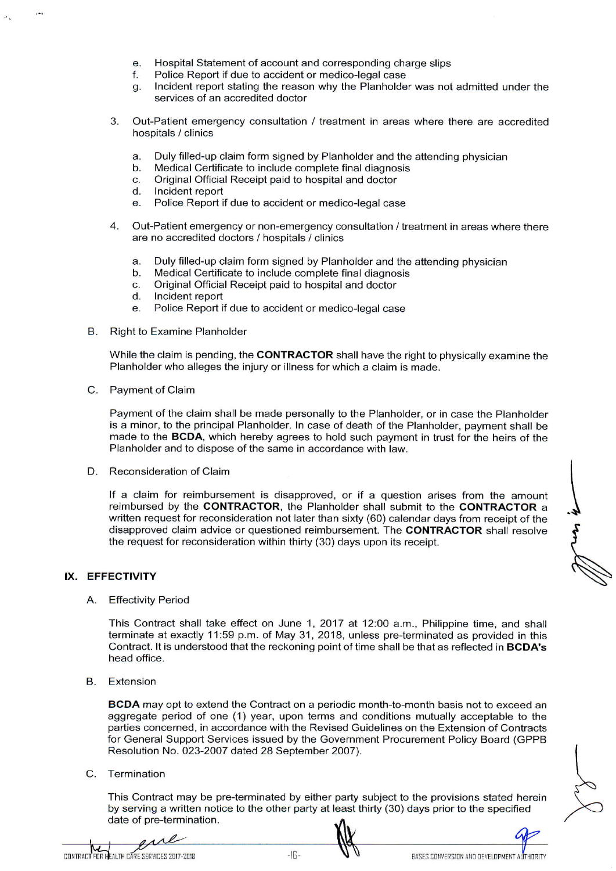- e. Hospital Statement of account and corresponding charge slips<br>f. Police Report if due to accident or medico-legal case<br>g. Incident report stating the reason why the Planbolder was not
- 
- e. Hospital Statement of account and corresponding charge slips<br>f. Police Report if due to accident or medico-legal case<br>g. Incident report stating the reason why the Planholder was not admitted under the services of an accredited doctor
- 3. Out-Patient emergency consultation / treatment in areas where there are accredited hospitals / clinics
	- hospitals / clinics<br>a. Duly filled-up claim form signed by Planholder and the attending physician<br>b. Medical Certificate to include complete final diagnosis
	- a. Duly filled-up claim form signed by Planholder and the<br>b. Medical Certificate to include complete final diagnosis<br>C. Original Official Beceipt paid to bespital and dector a. Duly filled-up claim form signed by Planholder and<br>b. Medical Certificate to include complete final diagno<br>c. Original Official Receipt paid to hospital and doctor<br>d. Incident report
	- b. Medical Certifi<br>c. Original Officia<br>d. Incident report<br>e. Police Benort i
	-
	- c. Original Official Receipt paid to hospital and doctor<br>d. Incident report<br>e. Police Report if due to accident or medico-legal case
- 4. Out-Patient emergency or non-emergency consultation / treatment in areas where there are no accredited doctors / hospitals / clinics
	- are no accredited doctors / hospitals / clinics<br>a. Duly filled-up claim form signed by Planholder and the attending physician<br>b. Medical Certificate to include complete final digaposis
	- a. Duly filled-up claim form signed by Planholder and the<br>b. Medical Certificate to include complete final diagnosis<br>C. Original Official Pessipt paid to bespital and dector a. Duly filled-up claim form signed by Planholder and<br>b. Medical Certificate to include complete final diagno<br>c. Original Official Receipt paid to hospital and doctor<br>d. Incident renort
	- b. Medical Certifi<br>c. Original Officia<br>d. Incident report c. Original Official Receipt paid to hospital and doctor<br>d. Incident report<br>e. Police Report if due to accident or medico-legal case
	-
	-
- B. Right to Examine Planholder

While the claim is pending, the CONTRACTOR shall have the right to physically examine the Planholder who alleges the injury or illness for which a claim is made.

C. Payment of Claim

Payment of the claim shall be made personally to the Planholder, or in case the Planholder is a minor, to the principal Planholder. In case of death of the Planholder, payment shall be made to the BCDA, which hereby agrees to hold such payment in trust for the heirs of the Planholder and to dispose of the same in accordance with law.

D. Reconsideration of Claim

If a claim for reimbursement is disapproved, or if a question arises from the amount reimbursed by the CONTRACTOR, the Planholder shall submit to the CONTRACTOR a written request for reconsideration not later than sixty (60) calendar days from receipt of the disapproved claim advice or questioned reimbursement. The CONTRACTOR shall resolve the request for reconsideration within thirty (30) days upon its receipt.

## IX. EFFECTIVITY

A. Effectivity Period

This Contract shall take effect on June 1, 2017 at 12:00 a.m., Philippine time, and shall terminate at exactly 11:59 p.m. of May 31, 2018, unless pre-terminated as provided in this Contract. It is understood that the reckoning point of time shall be that as reflected in **BCDA's** head office.

B. Extension

BCDA may opt to extend the Contract on a periodic month-to-month basis not to exceed an aggregate period of one (1) year, upon terms and conditions mutually acceptable to the parties concerned, in accordance with the Revised Guidelines on the Extension of Contracts for General Support Services issued by the Government Procurement Policy Board (GPPB Resolution No. 023-2007 dated 28 September 2007). terminate at exactly 11:59 p.m. of May 31, 2018,<br>Contract. It is understood that the reckoning point of<br>head office.<br>Extension<br>**BCDA** may opt to extend the Contract on a period<br>aggregate period of one (1) year, upon terms

C. Termination

This Contract may be pre-terminated by either party subject to the provisions stated herein<br>by serving a written notice to the other party at least thirty (30) days prior to the specified<br>date of pre-termination.<br> $\frac{10^{16$ by serving a written notice to the other party at least thirty (30) days prior to the specified date of pre-termination. For General Support Services issued by the Government Procurement Policy Board (GPPB<br>Resolution No. 023-2007 dated 28 September 2007).<br>
2. Termination<br>
This Contract may be pre-terminated by either party subject to the pro